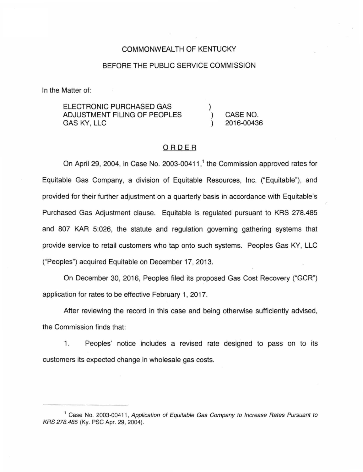## COMMONWEALTH OF KENTUCKY

### BEFORE THE PUBLIC SERVICE COMMISSION

In the Matter of:

| ELECTRONIC PURCHASED GAS     |            |
|------------------------------|------------|
| ADJUSTMENT FILING OF PEOPLES | CASE NO.   |
| GAS KY. LLC                  | 2016-00436 |

## ORDER

On April 29, 2004, in Case No. 2003-00411,<sup>1</sup> the Commission approved rates for Equitable Gas Company, a division of Equitable Resources, Inc. ("Equitable"), and provided for their further adjustment on a quarterly basis in accordance with Equitable's Purchased Gas Adjustment clause. Equitable is regulated pursuant to KRS 278.485 and 807 KAR 5:026, the statute and regulation governing gathering systems that provide service to retail customers who tap onto such systems. Peoples Gas KY, LLC ("Peoples") acquired Equitable on December 17, 2013.

On December 30, 2016, Peoples filed its proposed Gas Cost Recovery ("GCR") application for rates to be effective February 1, 2017.

After reviewing the record in this case and being otherwise sufficiently advised, the Commission finds that:

1. Peoples' notice includes a revised rate designed to pass on to its customers its expected change in wholesale gas costs.

<sup>&</sup>lt;sup>1</sup> Case No. 2003-00411, Application of Equitable Gas Company to Increase Rates Pursuant to KRS 278.485 (Ky. PSC Apr. 29, 2004).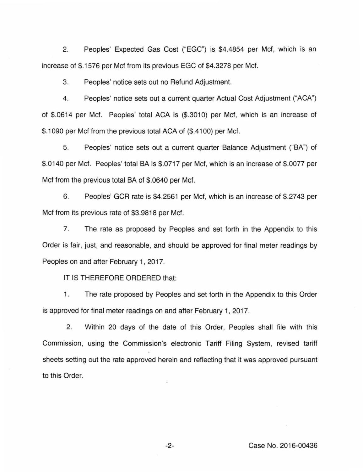2. Peoples' Expected Gas Cost ("EGC") is \$4.4854 per Mcf, which is an increase of \$.1576 per Met from its previous EGC of \$4.3278 per Met.

3. Peoples' notice sets out no Refund Adjustment.

4. Peoples' notice sets out a current quarter Actual Cost Adjustment ("ACA") of \$.0614 per Mcf. Peoples' total ACA is (\$.3010) per Mcf, which is an increase of \$.1090 per Mcf from the previous total ACA of (\$.4100) per Mcf.

5. Peoples' notice sets out a current quarter Balance Adjustment ("BA") of \$.0140 per Mcf. Peoples' total BA is \$.0717 per Mcf, which is an increase of \$.0077 per Met from the previous total BA of \$.0640 per Mcf.

6. Peoples' GCR rate is \$4.2561 per Mcf, which is an increase of \$.2743 per Met from its previous rate of \$3.9818 per Mcf.

7. The rate as proposed by Peoples and set forth in the Appendix to this Order is fair, just, and reasonable, and should be approved for final meter readings by Peoples on and after February 1, 2017.

IT IS THEREFORE ORDERED that:

1. The rate proposed by Peoples and set forth in the Appendix to this Order is approved for final meter readings on and after February 1, 2017.

2. Within 20 days of the date of this Order, Peoples shall file with this Commission, using the Commission's electronic Tariff Filing System, revised tariff sheets setting out the rate approved herein and reflecting that it was approved pursuant to this Order.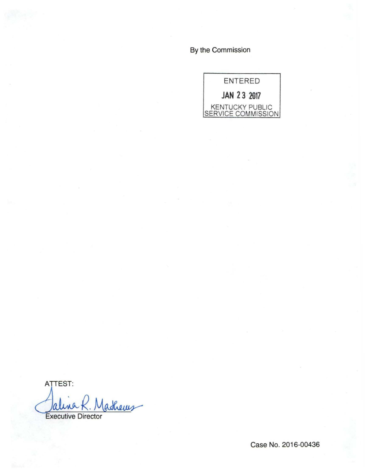By the Commission



ATTEST: adhews Jalina K. M

Case No. 2016-00436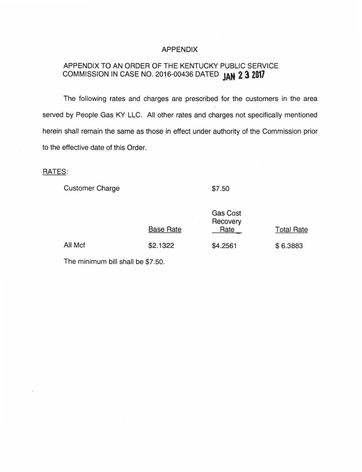#### APPENDIX

# APPENDIX TO AN ORDER OF THE KENTUCKY PUBLIC SERVICE COMMISSION IN CASE NO. 2016-00436 DATED **JAN 2·3 <sup>2017</sup>**

The following rates and charges are prescribed for the customers in the area served by People Gas KY LLC. All other rates and charges not specifically mentioned herein shall remain the same as those in effect under authority of the Commission prior to the effective date of this Order.

#### RATES:

Customer Charge

\$7.50

 $\sim$   $\sim$   $\sim$ 

|         | Gas Cost<br>Recovery<br><b>Base Rate</b><br>Rate |          | <b>Total Rate</b> |
|---------|--------------------------------------------------|----------|-------------------|
| All Mcf | \$2.1322                                         | \$4.2561 | \$6.3883          |

The minimum bill shall be \$7.50.